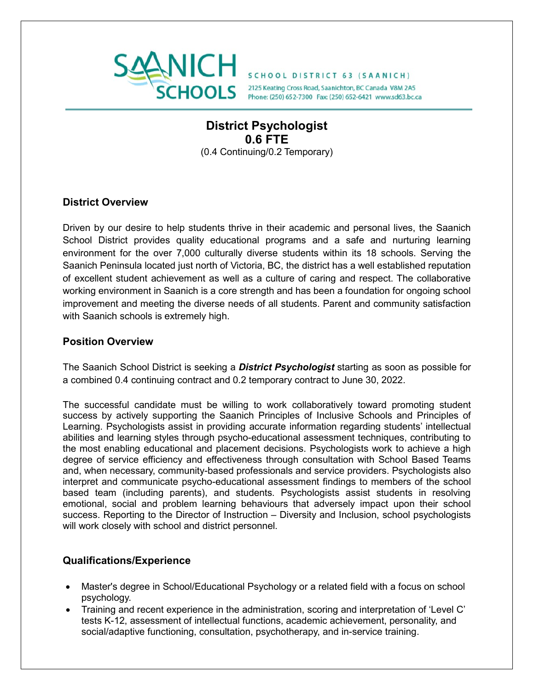

# **District Psychologist 0.6 FTE** (0.4 Continuing/0.2 Temporary)

#### **District Overview**

Driven by our desire to help students thrive in their academic and personal lives, the Saanich School District provides quality educational programs and a safe and nurturing learning environment for the over 7,000 culturally diverse students within its 18 schools. Serving the Saanich Peninsula located just north of Victoria, BC, the district has a well established reputation of excellent student achievement as well as a culture of caring and respect. The collaborative working environment in Saanich is a core strength and has been a foundation for ongoing school improvement and meeting the diverse needs of all students. Parent and community satisfaction with Saanich schools is extremely high.

### **Position Overview**

The Saanich School District is seeking a *District Psychologist* starting as soon as possible for a combined 0.4 continuing contract and 0.2 temporary contract to June 30, 2022.

The successful candidate must be willing to work collaboratively toward promoting student success by actively supporting the Saanich Principles of Inclusive Schools and Principles of Learning. Psychologists assist in providing accurate information regarding students' intellectual abilities and learning styles through psycho-educational assessment techniques, contributing to the most enabling educational and placement decisions. Psychologists work to achieve a high degree of service efficiency and effectiveness through consultation with School Based Teams and, when necessary, community-based professionals and service providers. Psychologists also interpret and communicate psycho-educational assessment findings to members of the school based team (including parents), and students. Psychologists assist students in resolving emotional, social and problem learning behaviours that adversely impact upon their school success. Reporting to the Director of Instruction – Diversity and Inclusion, school psychologists will work closely with school and district personnel.

### **Qualifications/Experience**

- Master's degree in School/Educational Psychology or a related field with a focus on school psychology.
- Training and recent experience in the administration, scoring and interpretation of 'Level C' tests K-12, assessment of intellectual functions, academic achievement, personality, and social/adaptive functioning, consultation, psychotherapy, and in-service training.